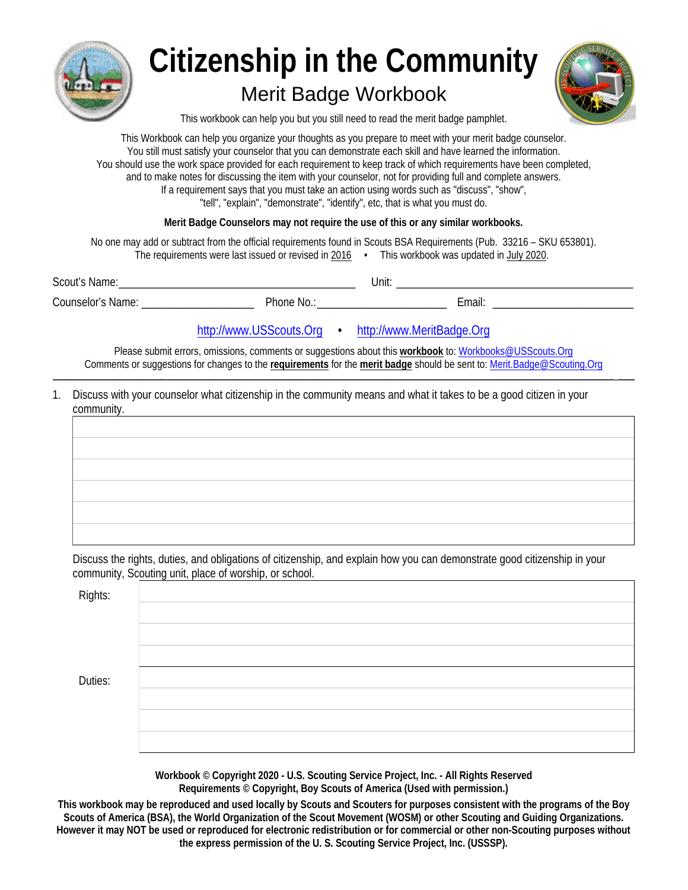

# **Citizenship in the Community**

## **Merit Badge Workbook**



This workbook can help you but you still need to read the merit badge pamphlet.

This Workbook can help you organize your thoughts as you prepare to meet with your merit badge counselor. You still must satisfy your counselor that you can demonstrate each skill and have learned the information. You should use the work space provided for each requirement to keep track of which requirements have been completed, and to make notes for discussing the item with your counselor, not for providing full and complete answers. If a requirement says that you must take an action using words such as "discuss", "show", "tell", "explain", "demonstrate", "identify", etc, that is what you must do.

Merit Badge Counselors may not require the use of this or any similar workbooks.

No one may add or subtract from the official requirements found in Scouts BSA Requirements (Pub. 33216 - SKU 653801). The requirements were last issued or revised in 2016 . This workbook was updated in July 2020.

| <b>Scout's Name:</b>     |          | Unit.  |  |
|--------------------------|----------|--------|--|
| <b>Counselor's Name:</b> | Phone No | ∠mail: |  |

### http://www.USScouts.Org •

http://www.MeritBadge.Org

Please submit errors, omissions, comments or suggestions about this workbook to: Workbooks@USScouts.Org Comments or suggestions for changes to the requirements for the merit badge should be sent to: Merit.Badge@Scouting.Org

1. Discuss with your counselor what citizenship in the community means and what it takes to be a good citizen in your community.

Discuss the rights, duties, and obligations of citizenship, and explain how you can demonstrate good citizenship in your community, Scouting unit, place of worship, or school.

| <b>Rights:</b> |  |
|----------------|--|
|                |  |
|                |  |
|                |  |
| Duties:        |  |
|                |  |
|                |  |
|                |  |

Workbook © Copyright 2020 - U.S. Scouting Service Project, Inc. - All Rights Reserved Requirements © Copyright, Boy Scouts of America (Used with permission.)

This workbook may be reproduced and used locally by Scouts and Scouters for purposes consistent with the programs of the Bov Scouts of America (BSA), the World Organization of the Scout Movement (WOSM) or other Scouting and Guiding Organizations. However it may NOT be used or reproduced for electronic redistribution or for commercial or other non-Scouting purposes without the express permission of the U.S. Scouting Service Project, Inc. (USSSP).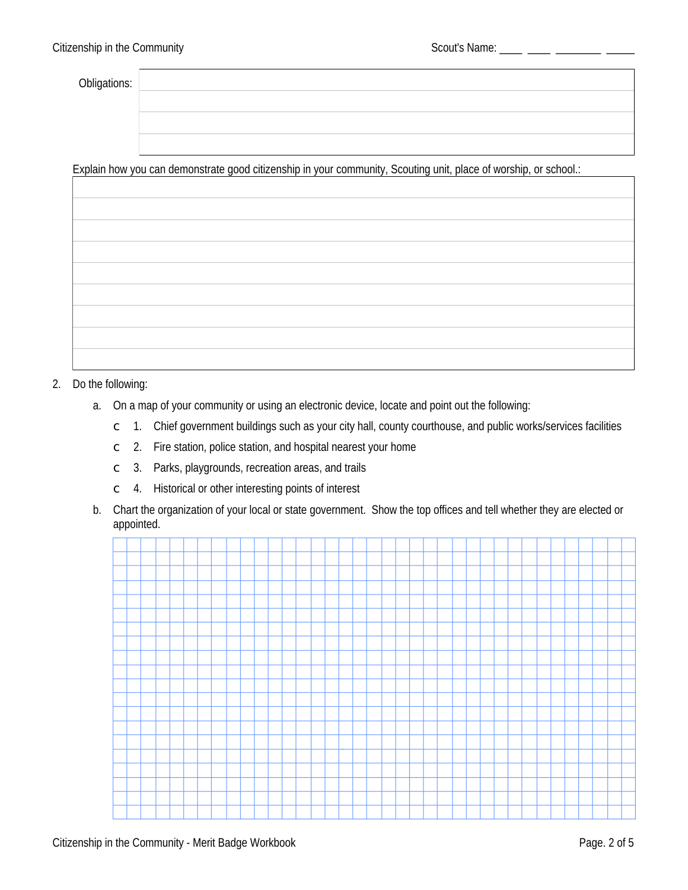Obligations:

Explain how you can demonstrate good citizenship in your community, Scouting unit, place of worship, or school.:

#### 2. Do the following:

- a. On a map of your community or using an electronic device, locate and point out the following:
	- c 1. Chief government buildings such as your city hall, county courthouse, and public works/services facilities
	- $\degree$  2. Fire station, police station, and hospital nearest your home
	- $\degree$  3. Parks, playgrounds, recreation areas, and trails
	- 4. Historical or other interesting points of interest  $\mathsf{C}^-$
- b. Chart the organization of your local or state government. Show the top offices and tell whether they are elected or appointed.

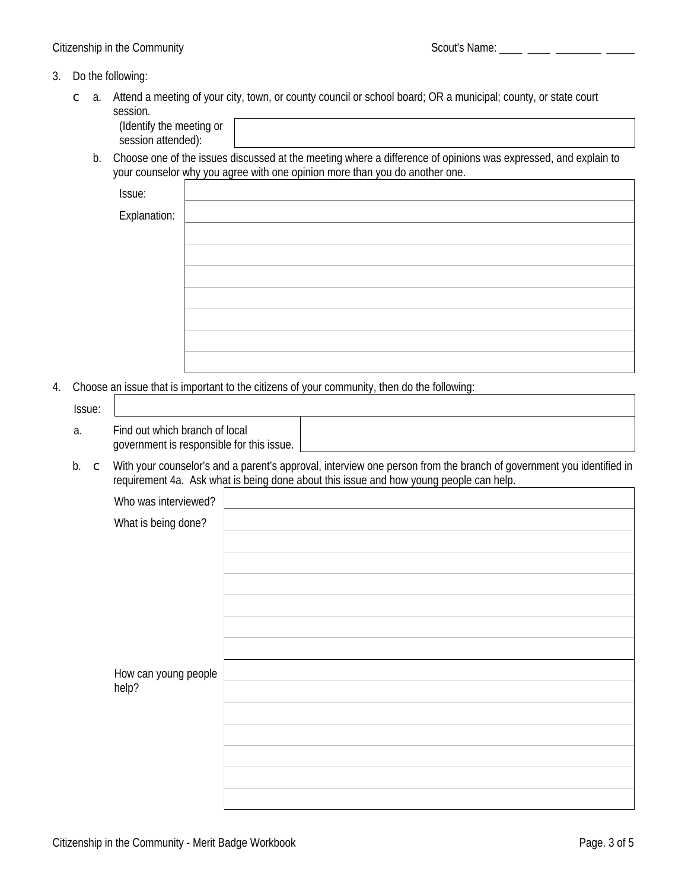#### 3. Do the following:

 $\subset$  a. Attend a meeting of your city, town, or county council or school board; OR a municipal; county, or state court session.

b. Choose one of the issues discussed at the meeting where a difference of opinions was expressed, and explain to your counselor why you agree with one opinion more than you do another one.

Issue:

| ------              |  |
|---------------------|--|
| <b>Explanation:</b> |  |
|                     |  |
|                     |  |
|                     |  |
|                     |  |
|                     |  |
|                     |  |
|                     |  |
|                     |  |

4. Choose an issue that is important to the citizens of your community, then do the following:

| Issue: |                                                                             |  |
|--------|-----------------------------------------------------------------------------|--|
| a.     | Find out which branch of local<br>government is responsible for this issue. |  |

b. c With your counselor's and a parent's approval, interview one person from the branch of government you identified in requirement 4a. Ask what is being done about this issue and how young people can help.

| Who was interviewed?          |  |
|-------------------------------|--|
| What is being done?           |  |
|                               |  |
|                               |  |
|                               |  |
|                               |  |
|                               |  |
|                               |  |
|                               |  |
| How can young people<br>help? |  |
|                               |  |
|                               |  |
|                               |  |
|                               |  |
|                               |  |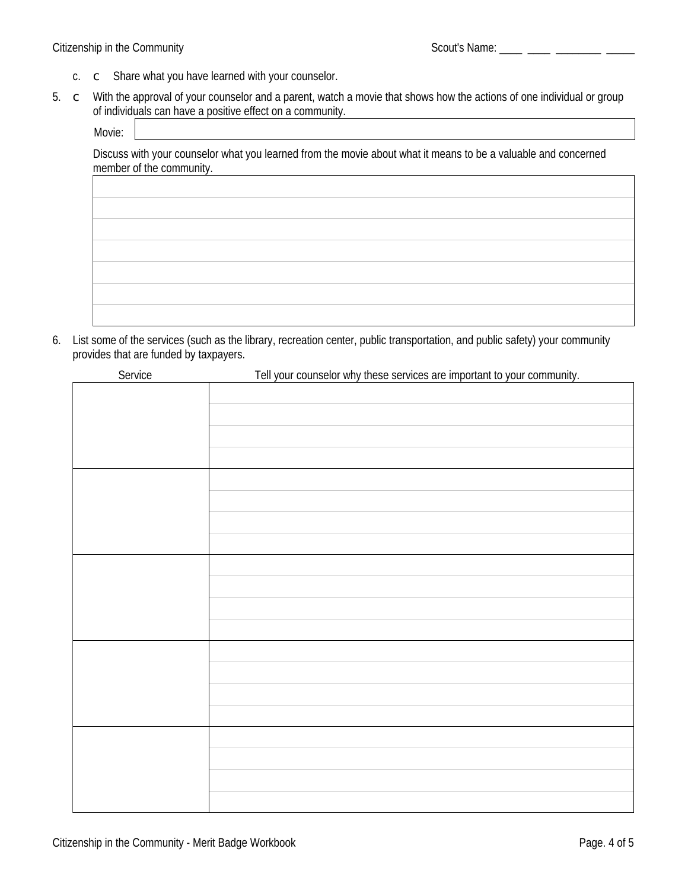- c. c Share what you have learned with your counselor.
- 5. c With the approval of your counselor and a parent, watch a movie that shows how the actions of one individual or group of individuals can have a positive effect on a community.

Movie:

Discuss with your counselor what you learned from the movie about what it means to be a valuable and concerned member of the community.

6. List some of the services (such as the library, recreation center, public transportation, and public safety) your community provides that are funded by taxpayers.

| Service | Tell your counselor why these services are important to your community. |
|---------|-------------------------------------------------------------------------|
|         |                                                                         |
|         |                                                                         |
|         |                                                                         |
|         |                                                                         |
|         |                                                                         |
|         |                                                                         |
|         |                                                                         |
|         |                                                                         |
|         |                                                                         |
|         |                                                                         |
|         |                                                                         |
|         |                                                                         |
|         |                                                                         |
|         |                                                                         |
|         |                                                                         |
|         |                                                                         |
|         |                                                                         |
|         |                                                                         |
|         |                                                                         |
|         |                                                                         |
|         |                                                                         |
|         |                                                                         |
|         |                                                                         |